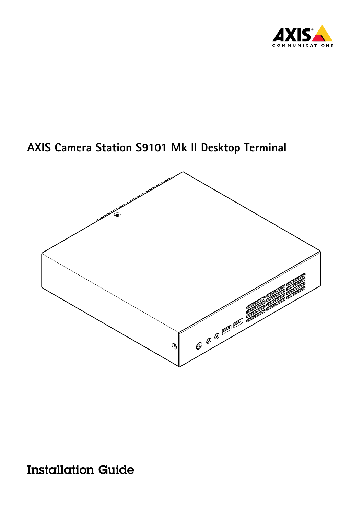



Installation Guide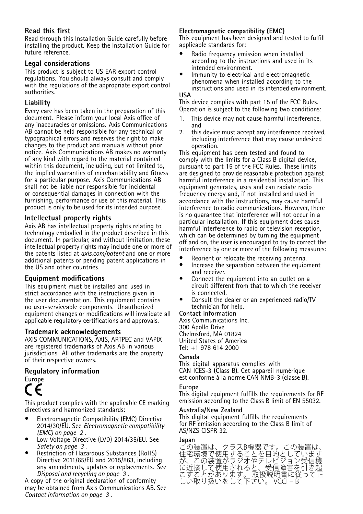#### **Read this first**

Read through this Installation Guide carefully before installing the product. Keep the Installation Guide for future reference.

#### **Legal considerations**

This product is subject to US EAR export control regulations. You should always consult and comply with the regulations of the appropriate export control authorities.

#### **Liability**

Every care has been taken in the preparation of this document. Please inform your local Axis office of any inaccuracies or omissions. Axis Communications AB cannot be held responsible for any technical or typographical errors and reserves the right to make changes to the product and manuals without prior notice. Axis Communications AB makes no warranty of any kind with regard to the material contained within this document, including, but not limited to, the implied warranties of merchantability and fitness for <sup>a</sup> particular purpose. Axis Communications AB shall not be liable nor responsible for incidental or consequential damages in connection with the furnishing, performance or use of this material. This product is only to be used for its intended purpose.

#### **Intellectual property rights**

Axis AB has intellectual property rights relating to technology embodied in the product described in this document. In particular, and without limitation, these intellectual property rights may include one or more of the patents listed at *[axis.com/patent](https://www.axis.com/patent)* and one or more additional patents or pending patent applications in the US and other countries.

#### **Equipment modifications**

This equipment must be installed and used in strict accordance with the instructions given in the user documentation. This equipment contains no user-serviceable components. Unauthorized equipment changes or modifications will invalidate all applicable regulatory certifications and approvals.

#### **Trademark acknowledgements**

AXIS COMMUNICATIONS, AXIS, ARTPEC and VAPIX are registered trademarks of Axis AB in various jurisdictions. All other trademarks are the property of their respective owners.

#### **Regulatory information**

**Europe**

This product complies with the applicable CE marking directives and harmonized standards:

- • Electromagnetic Compatibility (EMC) Directive 2014/30/EU. See *Electromagnetic compatibility (EMC) on page <sup>2</sup>* .
- • Low Voltage Directive (LVD) 2014/35/EU. See *[Safety](#page-2-0) on page [3](#page-2-0)* .
- • Restriction of Hazardous Substances (RoHS) Directive 2011/65/EU and 2015/863, including any amendments, updates or replacements. See *Disposal and [recycling](#page-2-0) on page [3](#page-2-0)* .

A copy of the original declaration of conformity may be obtained from Axis Communications AB. See *Contact [information](#page-2-0) on page [3](#page-2-0)* .

#### **Electromagnetic compatibility (EMC)**

This equipment has been designed and tested to fulfill applicable standards for:

- • Radio frequency emission when installed according to the instructions and used in its intended environment.
- • Immunity to electrical and electromagnetic phenomena when installed according to the instructions and used in its intended environment.

#### **USA**

This device complies with part 15 of the FCC Rules. Operation is subject to the following two conditions:

- 1. This device may not cause harmful interference, and
- 2. this device must accept any interference received, including interference that may cause undesired operation.

This equipment has been tested and found to comply with the limits for <sup>a</sup> Class B digital device, pursuant to part 15 of the FCC Rules. These limits are designed to provide reasonable protection against harmful interference in a residential installation. This equipment generates, uses and can radiate radio frequency energy and, if not installed and used in accordance with the instructions, may cause harmful interference to radio communications. However, there is no guarantee that interference will not occur in <sup>a</sup> particular installation. If this equipment does cause harmful interference to radio or television reception, which can be determined by turning the equipment off and on, the user is encouraged to try to correct the interference by one or more of the following measures:

- •Reorient or relocate the receiving antenna.
- • Increase the separation between the equipment and receiver.
- • Connect the equipment into an outlet on <sup>a</sup> circuit different from that to which the receiver is connected.
- • Consult the dealer or an experienced radio/TV technician for help.

#### **Contact information**

Axis Communications Inc. 300 Apollo Drive Chelmsford, MA 01824 United States of America Tel: +1 978 614 2000

#### **Canada**

This digital apparatus complies with CAN ICES-3 (Class B). Cet appareil numérique est conforme à la norme CAN NMB-3 (classe B).

#### **Europe**

This digital equipment fulfills the requirements for RF emission according to the Class B limit of EN 55032.

#### **Australia/New Zealand**

This digital equipment fulfills the requirements for RF emission according to the Class B limit of AS/NZS CISPR 32.

#### **Japan**

この装置は、クラスB機器です。この装置は、 住宅環境で使用することを目的としています<br>が、この装置がラジオやテレビジョン受信機<br>に近接して使用されると、受信障害を引き起 こすことがあります。 取扱説明書に従って正 しい取り扱いをして下さい。 VCCI ‒ B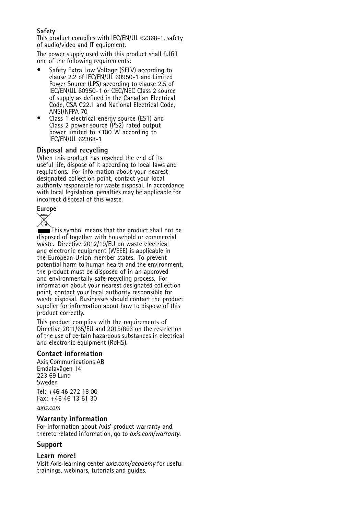#### <span id="page-2-0"></span>**Safety**

This product complies with IEC/EN/UL 62368-1, safety of audio/video and IT equipment.

The power supply used with this product shall fulfill one of the following requirements:

- • Safety Extra Low Voltage (SELV) according to clause 2.2 of IEC/EN/UL 60950-1 and Limited Power Source (LPS) according to clause 2.5 of IEC/EN/UL 60950-1 or CEC/NEC Class 2 source of supply as defined in the Canadian Electrical Code, CSA C22.1 and National Electrical Code, ANSI/NFPA 70
- • Class <sup>1</sup> electrical energy source (ES1) and Class <sup>2</sup> power source (PS2) rated output power limited to ≤100 W according to IEC/EN/UL 62368-1

#### **Disposal and recycling**

When this product has reached the end of its useful life, dispose of it according to local laws and regulations. For information about your nearest designated collection point, contact your local authority responsible for waste disposal. In accordance with local legislation, penalties may be applicable for incorrect disposal of this waste.

**Europe**



This symbol means that the product shall not be disposed of together with household or commercial waste. Directive 2012/19/EU on waste electrical and electronic equipment (WEEE) is applicable in the European Union member states. To prevent potential harm to human health and the environment, the product must be disposed of in an approved and environmentally safe recycling process. For information about your nearest designated collection point, contact your local authority responsible for waste disposal. Businesses should contact the product supplier for information about how to dispose of this product correctly.

This product complies with the requirements of Directive 2011/65/EU and 2015/863 on the restriction of the use of certain hazardous substances in electrical and electronic equipment (RoHS).

#### **Contact information**

Axis Communications AB Emdalavägen 14 223 69 Lund Sweden Tel: +46 46 272 18 00 Fax: +46 46 13 61 30

*[axis.com](https://www.axis.com)*

#### **Warranty information**

For information about Axis' product warranty and thereto related information, go to *[axis.com/warranty](https://www.axis.com/warranty)*.

#### **Support**

#### **Learn more!**

Visit Axis learning center *[axis.com/academy](https://www.axis.com/academy)* for useful trainings, webinars, tutorials and guides.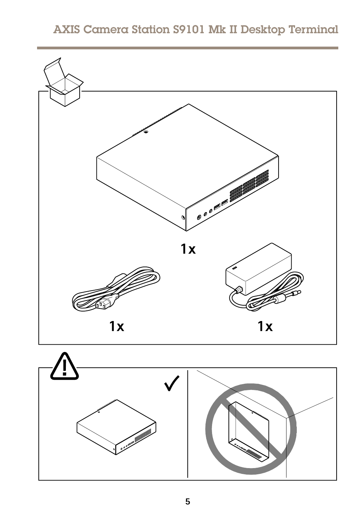

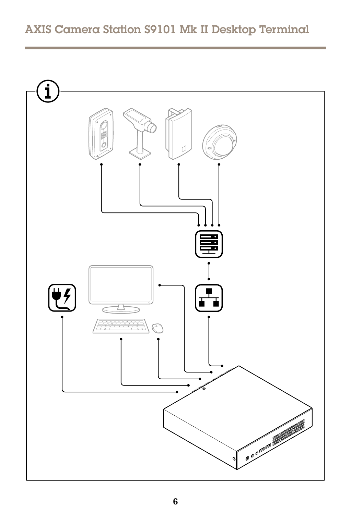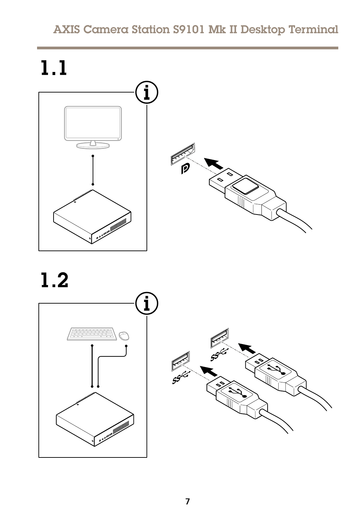$1.1$ 



 $1.2$ 

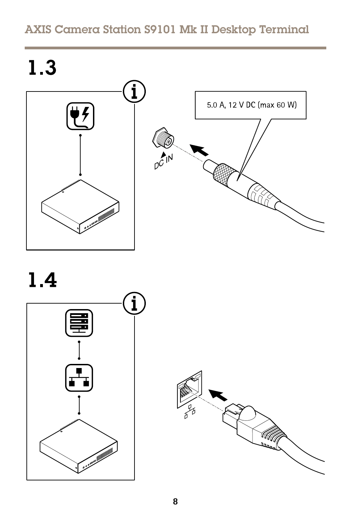

 $1.4$ 



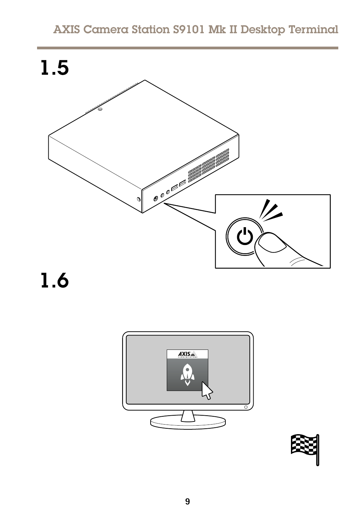

1.6



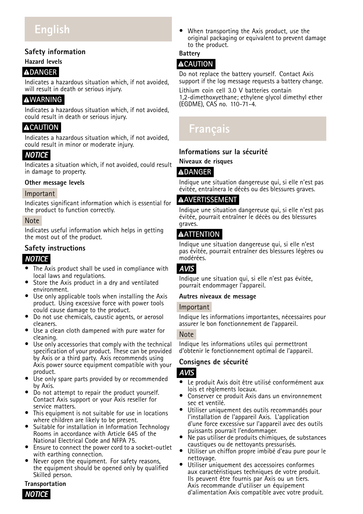# **English**

#### **Safety information**

**Hazard levels**

#### **DANGER**

Indicates <sup>a</sup> hazardous situation which, if not avoided, will result in death or serious injury.

#### **WARNING**

Indicates <sup>a</sup> hazardous situation which, if not avoided, could result in death or serious injury.

#### **ACAUTION**

Indicates <sup>a</sup> hazardous situation which, if not avoided, could result in minor or moderate injury.

#### *NOTICE*

Indicates <sup>a</sup> situation which, if not avoided, could result in damage to property.

#### **Other message levels**

#### Important

Indicates significant information which is essential for the product to function correctly.

#### Note

Indicates useful information which helps in getting the most out of the product.

#### **Safety instructions**

#### *NOTICE*

- • The Axis product shall be used in compliance with local laws and regulations.
- • Store the Axis product in <sup>a</sup> dry and ventilated environment.
- • Use only applicable tools when installing the Axis product. Using excessive force with power tools could cause damage to the product.
- • Do not use chemicals, caustic agents, or aerosol cleaners.
- Use <sup>a</sup> clean cloth dampened with pure water for cleaning.
- Use only accessories that comply with the technical specification of your product. These can be provided by Axis or <sup>a</sup> third party. Axis recommends using Axis power source equipment compatible with your product.
	- • Use only spare parts provided by or recommended by Axis.
- Do not attempt to repair the product yourself. Contact Axis support or your Axis reseller for service matters.
- This equipment is not suitable for use in locations where children are likely to be present.
	- • Suitable for installation in Information Technology Rooms in accordance with Article 645 of the National Electrical Code and NFPA 75.
	- • Ensure to connect the power cord to <sup>a</sup> socket-outlet with earthing connection.
	- • Never open the equipment. For safety reasons, the equipment should be opened only by qualified Skilled person.

#### **Transportation**



• When transporting the Axis product, use the original packaging or equivalent to prevent damage to the product.

### **Battery**

#### **ACAUTION**

Do not replace the battery yourself. Contact Axis support if the log message requests <sup>a</sup> battery change. Lithium coin cell 3.0 V batteries contain 1,2-dimethoxyethane; ethylene glycol dimethyl ether (EGDME), CAS no. 110-71-4.

## **Français**

#### **Informations sur la sécurité**

**Niveaux de risques**

#### **DANGER**

Indique une situation dangereuse qui, si elle <sup>n</sup>'est pas évitée, entraînera le décès ou des blessures graves.

#### **AAVERTISSEMENT**

Indique une situation dangereuse qui, si elle <sup>n</sup>'est pas évitée, pourrait entraîner le décès ou des blessures graves.

#### **ATTENTION**

Indique une situation dangereuse qui, si elle <sup>n</sup>'est pas évitée, pourrait entraîner des blessures légères ou modérées.

### *AVIS*

Indique une situation qui, si elle <sup>n</sup>'est pas évitée, pourrait endommager l'appareil.

#### **Autres niveaux de message**

#### Important

Indique les informations importantes, nécessaires pour assurer le bon fonctionnement de l'appareil.

#### Note

Indique les informations utiles qui permettront d'obtenir le fonctionnement optimal de l'appareil.

#### **Consignes de sécurité**

#### *AVIS*

- • Le produit Axis doit être utilisé conformément aux lois et règlements locaux.
- Conserver ce produit Axis dans un environnement sec et ventilé.
	- • Utiliser uniquement des outils recommandés pour l'installation de l'appareil Axis. L'application d'une force excessive sur l'appareil avec des outils puissants pourrait l'endommager.
- • Ne pas utiliser de produits chimiques, de substances caustiques ou de nettoyants pressurisés.
- • Utiliser un chiffon propre imbibé d'eau pure pour le nettoyage.
- • Utiliser uniquement des accessoires conformes aux caractéristiques techniques de votre produit. Ils peuvent être fournis par Axis ou un tiers. Axis recommande d'utiliser un équipement d'alimentation Axis compatible avec votre produit.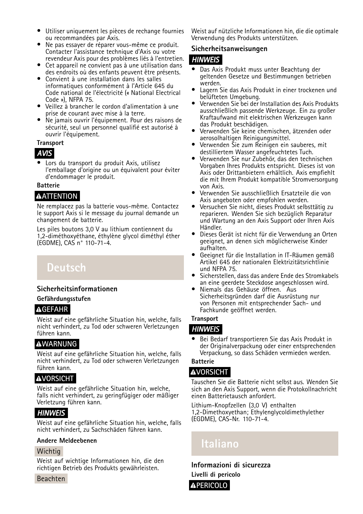- • Utiliser uniquement les pièces de rechange fournies ou recommandées par Axis.
- • Ne pas essayer de réparer vous-même ce produit. Contacter l'assistance technique d'Axis ou votre revendeur Axis pour des problèmes liés à l'entretien.
- •Cet appareil ne convient pas à une utilisation dans des endroits où des enfants peuvent être présents.
- • Convient à une installation dans les salles informatiques conformément à l'Article 645 du Code national de l'électricité (« National Electrical Code »), NFPA 75.
- • Veillez à brancher le cordon d'alimentation à une prise de courant avec mise à la terre.
- • Ne jamais ouvrir l'équipement. Pour des raisons de sécurité, seul un personnel qualifié est autorisé à ouvrir l'équipement.

#### **Transport**

#### *AVIS*

• Lors du transport du produit Axis, utilisez l'emballage d'origine ou un équivalent pour éviter d'endommager le produit.

#### **Batterie**

#### **AATTENTION**

Ne remplacez pas la batterie vous-même. Contactez le support Axis si le message du journal demande un changement de batterie.

Les piles boutons 3,0 V au lithium contiennent du 1,2-diméthoxyéthane, éthylène glycol diméthyl éther (EGDME), CAS <sup>n</sup>° 110-71-4.

## **Deutsch**

#### **Sicherheitsinformationen**

#### **Gefährdungsstufen**

#### **GEFAHR**

Weist auf eine gefährliche Situation hin, welche, falls nicht verhindert, zu Tod oder schweren Verletzungen führen kann.

#### **WARNUNG**

Weist auf eine gefährliche Situation hin, welche, falls nicht verhindert, zu Tod oder schweren Verletzungen führen kann.

#### **AVORSICHT**

Weist auf eine gefährliche Situation hin, welche, falls nicht verhindert, zu geringfügiger oder mäßiger Verletzung führen kann.

#### *HINWEIS*

Weist auf eine gefährliche Situation hin, welche, falls nicht verhindert, zu Sachschäden führen kann.

#### **Andere Meldeebenen**

#### **Wichtig**

Weist auf wichtige Informationen hin, die den richtigen Betrieb des Produkts gewährleisten.

#### Beachten

Weist auf nützliche Informationen hin, die die optimale Verwendung des Produkts unterstützen.

#### **Sicherheitsanweisungen**

#### *HINWEIS HINWEIS HINWEIS*

- • Das Axis Produkt muss unter Beachtung der geltenden Gesetze und Bestimmungen betrieben werden.
- • Lagern Sie das Axis Produkt in einer trockenen und belüfteten Umgebung.
- • Verwenden Sie bei der Installation des Axis Produkts ausschließlich passende Werkzeuge. Ein zu großer Kraftaufwand mit elektrischen Werkzeugen kann das Produkt beschädigen.
- • Verwenden Sie keine chemischen, ätzenden oder aerosolhaltigen Reinigungsmittel.
- • Verwenden Sie zum Reinigen ein sauberes, mit destilliertem Wasser angefeuchtetes Tuch.
- • Verwenden Sie nur Zubehör, das den technischen Vorgaben Ihres Produkts entspricht. Dieses ist von Axis oder Drittanbietern erhältlich. Axis empfiehlt die mit Ihrem Produkt kompatible Stromversorgung von Axis.
- • Verwenden Sie ausschließlich Ersatzteile die von Axis angeboten oder empfohlen werden.
- • Versuchen Sie nicht, dieses Produkt selbsttätig zu reparieren. Wenden Sie sich bezüglich Reparatur und Wartung an den Axis Support oder Ihren Axis Händler.
- • Dieses Gerät ist nicht für die Verwendung an Orten geeignet, an denen sich möglicherweise Kinder aufhalten.
- • Geeignet für die Installation in IT-Räumen gemäß Artikel 645 der nationalen Elektrizitätsrichtlinie und NFPA 75.
- • Sicherstellen, dass das andere Ende des Stromkabels an eine geerdete Steckdose angeschlossen wird.
- • Niemals das Gehäuse öffnen. Aus Sicherheitsgründen darf die Ausrüstung nur von Personen mit entsprechender Sach- und Fachkunde geöffnet werden.

#### **Transport**

- *HINWEIS HINWEIS*
- • Bei Bedarf transportieren Sie das Axis Produkt in der Originalverpackung oder einer entsprechenden Verpackung, so dass Schäden vermieden werden.

#### **Batterie**

#### **AVORSICHT**

Tauschen Sie die Batterie nicht selbst aus. Wenden Sie sich an den Axis Support, wenn die Protokollnachricht einen Batterietausch anfordert.

Lithium-Knopfzellen (3,0 V) enthalten 1,2-Dimethoxyethan; Ethylenglycoldimethylether (EGDME), CAS-Nr. 110-71-4.

**Italiano**

**Informazioni di sicurezza Livelli di pericolo**

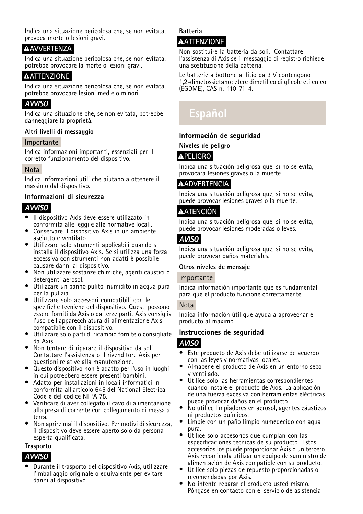Indica una situazione pericolosa che, se non evitata, provoca morte <sup>o</sup> lesioni gravi.

#### **AAVVERTENZA**

Indica una situazione pericolosa che, se non evitata, potrebbe provocare la morte <sup>o</sup> lesioni gravi.

#### **ATTENZIONE**

Indica una situazione pericolosa che, se non evitata, potrebbe provocare lesioni medie <sup>o</sup> minori.

#### *AVVISO*

Indica una situazione che, se non evitata, potrebbe danneggiare la proprietà.

#### **Altri livelli di messaggio**

#### Importante

Indica informazioni importanti, essenziali per il corretto funzionamento del dispositivo.

#### Nota

Indica informazioni utili che aiutano a ottenere il massimo dal dispositivo.

#### **Informazioni di sicurezza**

#### *AVVISO*

- Il dispositivo Axis deve essere utilizzato in conformità alle leggi <sup>e</sup> alle normative locali.
	- • Conservare il dispositivo Axis in un ambiente asciutto e ventilato.
	- • Utilizzare solo strumenti applicabili quando si installa il dispositivo Axis. Se si utilizza una forza eccessiva con strumenti non adatti è possibile causare danni al dispositivo.
- Non utilizzare sostanze chimiche, agenti caustici <sup>o</sup> detergenti aerosol.
	- • Utilizzare un panno pulito inumidito in acqua pura per la pulizia.
	- • Utilizzare solo accessori compatibili con le specifiche tecniche del dispositivo. Questi possono essere forniti da Axis <sup>o</sup> da terze parti. Axis consiglia l'uso dell'apparecchiatura di alimentazione Axis compatibile con il dispositivo.
	- • Utilizzare solo parti di ricambio fornite <sup>o</sup> consigliate da Axis.
- Non tentare di riparare il dispositivo da soli. Contattare l'assistenza <sup>o</sup> il rivenditore Axis per questioni relative alla manutenzione.
- Questo dispositivo non è adatto per l'uso in luoghi in cui potrebbero essere presenti bambini.
- Adatto per installazioni in locali informatici in conformità all'articolo 645 del National Electrical Code <sup>e</sup> del codice NFPA 75.
- Verificare di aver collegato il cavo di alimentazione alla presa di corrente con collegamento di messa <sup>a</sup> terra.
	- • Non aprire mai il dispositivo. Per motivi di sicurezza, il dispositivo deve essere aperto solo da persona esperta qualificata.

#### **Trasporto**

#### *AVVISO*

• Durante il trasporto del dispositivo Axis, utilizzare l'imballaggio originale <sup>o</sup> equivalente per evitare danni al dispositivo.

#### **Batteria**

#### **AATTENZIONE**

Non sostituire la batteria da soli. Contattare l'assistenza di Axis se il messaggio di registro richiede una sostituzione della batteria.

Le batterie <sup>a</sup> bottone al litio da 3 V contengono 1,2-dimetossietano; etere dimetilico di glicole etilenico (EGDME), CAS n. 110-71-4.

## **Español**

#### **Información de seguridad**

**Niveles de peligro**

#### **APELIGRO**

Indica una situación peligrosa que, si no se evita, provocará lesiones graves <sup>o</sup> la muerte.

#### **ADVERTENCIA**

Indica una situación peligrosa que, si no se evita, puede provocar lesiones graves <sup>o</sup> la muerte.

#### **ATENCIÓN**

Indica una situación peligrosa que, si no se evita, puede provocar lesiones moderadas <sup>o</sup> leves.

#### *AVISO*

Indica una situación peligrosa que, si no se evita, puede provocar daños materiales.

#### **Otros niveles de mensaje**

#### Importante

Indica información importante que es fundamental para que el producto funcione correctamente.

#### Nota

Indica información útil que ayuda <sup>a</sup> aprovechar el producto al máximo.

#### **Instrucciones de seguridad**

#### *AVISO*

- • Este producto de Axis debe utilizarse de acuerdo con las leyes y normativas locales.
- •Almacene el producto de Axis en un entorno seco y ventilado.
- • Utilice solo las herramientas correspondientes cuando instale el producto de Axis. La aplicación de una fuerza excesiva con herramientas eléctricas puede provocar daños en el producto.
- • No utilice limpiadores en aerosol, agentes cáusticos ni productos químicos.
- • Limpie con un paño limpio humedecido con agua pura.
- • Utilice solo accesorios que cumplan con las especificaciones técnicas de su producto. Estos accesorios los puede proporcionar Axis <sup>o</sup> un tercero. Axis recomienda utilizar un equipo de suministro de alimentación de Axis compatible con su producto.
- • Utilice solo piezas de repuesto proporcionadas <sup>o</sup> recomendadas por Axis.
- • No intente reparar el producto usted mismo. Póngase en contacto con el servicio de asistencia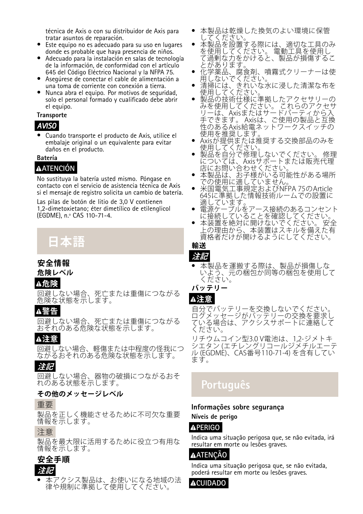técnica de Axis <sup>o</sup> con su distribuidor de Axis para tratar asuntos de reparación.

- • Este equipo no es adecuado para su uso en lugares donde es probable que haya presencia de niños.
- Adecuado para la instalación en salas de tecnología de la información, de conformidad con el artículo 645 del Código Eléctrico Nacional y la NFPA 75.
- Asegúrese de conectar el cable de alimentación <sup>a</sup> una toma de corriente con conexión a tierra.
- • Nunca abra el equipo. Por motivos de seguridad, solo el personal formado y cualificado debe abrir el equipo.

#### **Transporte**

#### *AVISO*

• Cuando transporte el producto de Axis, utilice el embalaje original <sup>o</sup> un equivalente para evitar daños en el producto.

#### **Batería**

#### **AATENCIÓN**

No sustituya la batería usted mismo. Póngase en contacto con el servicio de asistencia técnica de Axis si el mensaje de registro solicita un cambio de batería.

Las pilas de botón de litio de 3,0 V contienen 1,2-dimetoxietano; éter dimetílico de etilenglicol (EGDME), n.<sup>º</sup> CAS 110-71-4.

# **⽇本語**

#### **安全情報**

**危険レベル**

#### **危険**

回避しない場合、死亡または重傷につながる 危険な状態を示します。

#### **警告**

回避しない場合、死亡または重傷につながる おそれのある危険な状態を示します。

#### **注意**

回避しない場合、軽傷または中程度の怪我につ<br>ながるおそれのある危険な状態を示します。

#### **注記**

回避しない場合、器物の破損につながるおそ<br>れのある状態を示します。

#### **その他のメッセージレベル**

#### 重要

製品を正しく機能させるために不可欠な重要 情報を示します。

#### 注意

製品を最大限に活用するために役立つ有用な 情報を示します。

#### **安全⼿順 注記**

•● 本アクシス製品は、お使いになる地域の法<br>- 律や規制に準拠して使用してください。

- •本製品は乾燥した換気のよい環境に保管
- 本製品をざい。<br>● 本製品を設置する際には、適切な工具のみ<br>を使用してください。 電動工具を使用し<br>て過剰な力をかけると、製品が損傷するこ •とがあります。
- •● 化学薬品、腐食剤、噴霧式クリーナーは使
- 用しないでください。<br>● 清掃には、きれいな水に浸した清潔な布を<br>● 使用してください。 •
- •● 製品の技術仕様に準拠したアクセサリーの<br>- みを使用してください。 これらのアクセサ <sub>リーは、</sub>Axisまたはサードパーティから入 手できます。 Axisは、ご使用の製品と互換<br>性のあるAxis給電ネットワークスイッチの 使用を推奨します
- •● Axisが提供または推奨する交換部品のみを<br>● 使用してください。
- •● 製品を自分で修理しないでください。 修理<br>- については、Axisサポートまたは販売代理<br>- 店にお問い合わせください。
- •● 本製品は、お子様がいる可能性がある場所<br>- での使用に適していません。
	- • ⽶国電気⼯事規定およびNFPA 75のArticle 645に準拠した情報技術ルームでの設置に 適しています。
- •● 電源ケーブルをアース接続のあるコンセント<br>- に接続していることを確認してください。<br>● 本装置を絶対に開けないでください。 安全
	- •上の理由から、本装置はスキルを備えた有 資格者だけが開けるようにしてください。

### **輸送**

#### **注記**

• 本製品を運搬する際は、製品が損傷しな いよう、元の梱包か同等の梱包を使用して<br>ください。



⾃分でバッテリーを交換しないでください。 ログメッセージがバッテリーの交換を要求し ている場合は、アクシスサポートに連絡して ください。

リチウムコイン型3.0 V電池は、1,2-ジメトキ シエタン (エチレングリコールジメチルエーテ ル (EGDME)、CAS番号110-71-4) を含有してい ます。

### **Português**

#### **Informações sobre segurança Níveis de perigo**

#### **APERIGO**

Indica uma situação perigosa que, se não evitada, irá resultar em morte ou lesões graves.

#### **ATENÇÃO**

Indica uma situação perigosa que, se não evitada, poderá resultar em morte ou lesões graves.

#### **CUIDADO**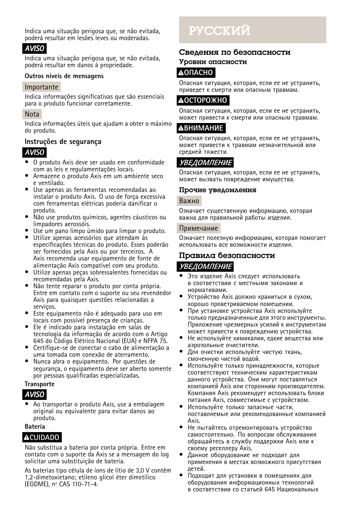Indica uma situação perigosa que, se não evitada, poderá resultar em lesões leves ou moderadas.

#### *AVISO*

Indica uma situação perigosa que, se não evitada, poderá resultar em danos à propriedade.

#### **Outros níveis de mensagens**

#### Importante

Indica informações significativas que são essenciais para <sup>o</sup> produto funcionar corretamente.

#### Nota

Indica informações úteis que ajudam <sup>a</sup> obter <sup>o</sup> máximo do produto.

#### **Instruções de segurança**

#### *AVISO*

- • O produto Axis deve ser usado em conformidade com as leis <sup>e</sup> regulamentações locais.
- • Armazene <sup>o</sup> produto Axis em um ambiente seco e ventilado.
- • Use apenas as ferramentas recomendadas ao instalar <sup>o</sup> produto Axis. O uso de força excessiva com ferramentas elétricas poderia danificar <sup>o</sup> produto.
- • Não use produtos químicos, agentes cáusticos ou limpadores aerossóis.
- Use um pano limpo úmido para limpar <sup>o</sup> produto.
- Utilize apenas acessórios que atendam às especificações técnicas do produto. Esses poderão ser fornecidos pela Axis ou por terceiros. A Axis recomenda usar equipamento de fonte de alimentação Axis compatível com seu produto.
- Utilize apenas peças sobressalentes fornecidas ou recomendadas pela Axis.
	- • Não tente reparar <sup>o</sup> produto por conta própria. Entre em contato com <sup>o</sup> suporte ou seu revendedor Axis para quaisquer questões relacionadas <sup>a</sup> serviços.
- Este equipamento não é adequado para uso em locais com possível presença de crianças.
	- • Ele é indicado para instalação em salas de tecnologia da informação de acordo com <sup>o</sup> Artigo <sup>645</sup> do Código Elétrico Nacional (EUA) <sup>e</sup> NFPA 75.
- Certifique-se de conectar <sup>o</sup> cabo de alimentação <sup>a</sup> uma tomada com conexão de aterramento.
	- • Nunca abra <sup>o</sup> equipamento. Por questões de segurança, <sup>o</sup> equipamento deve ser aberto somente por pessoas qualificadas especializadas.

#### **Transporte**

#### *AVISO*

• Ao transportar <sup>o</sup> produto Axis, use <sup>a</sup> embalagem original ou equivalente para evitar danos ao produto.

#### **Bateria**

#### **CUIDADO**

Não substitua <sup>a</sup> bateria por conta própria. Entre em contato com <sup>o</sup> suporte da Axis se <sup>a</sup> mensagem do log solicitar uma substituição de bateria.

As baterias tipo célula de íons de lítio de 3,0 V contêm 1,2-dimetoxietano; etileno glicol éter dimetílico (EGDME), <sup>n</sup><sup>º</sup> CAS 110-71-4.

# РУССКИЙ

#### Сведения по безопасности

#### Уровни опасности

#### **OПACHO**

Опасная ситуация, которая, если ее не устранить, приведет <sup>к</sup> смерти или опасным травмам.

#### **ОСТОРОЖНО**

Опасная ситуация, которая, если ее не устранить, может привести <sup>к</sup> смерти или опасным травмам.

#### **АВНИМАНИЕ**

Опасная ситуация, которая, если ее не устранить, может привести <sup>к</sup> травмам незначительной или средней тяжести.

#### **УВЕДОМЛЕНИЕ**

Опасная ситуация, которая, если ее не устранить, может вызвать повреждение имущества.

#### Прочие уведомления

#### Важно

Означает существенную информацию, которая важна для правильной работы изделия.

#### Примечание

Означает полезную информацию, которая помогает использовать все возможности изделия.

#### Правила безопасности **УВЕДОМЛЕНИЕ**

- • Это изделие Axis следует использовать в соответствии с местными законами и нормативами.
- • Устройство Axis должно храниться <sup>в</sup> сухом, хорошо проветриваемом помещении.
- • При установке устройства Axis используйте только предназначенные для этого инструменты. Приложение чрезмерных усилий <sup>к</sup> инструментам может привести <sup>к</sup> повреждению устройства.
- • Не используйте химикалии, едкие вещества или аэрозольные очистители.
- • Для очистки используйте чистую ткань, смоченную чистой водой.
- • Используйте только принадлежности, которые соответствуют техническим характеристикам данного устройства. Они могут поставляться компанией Axis или сторонним производителем. Компания Axis рекомендует использовать блоки питания Axis, совместимые <sup>с</sup> устройством.
- • Используйте только запасные части, поставляемые или рекомендованные компанией Axis.
- Не пытайтесь отремонтировать устройство самостоятельно. По вопросам обслуживания обращайтесь <sup>в</sup> службу поддержки Axis или <sup>к</sup> своему реселлеру Axis.
	- • Данное оборудование не подходит для применения <sup>в</sup> местах возможного присутствия детей.
	- • Подходит для установки <sup>в</sup> помещениях для оборудования информационных технологий <sup>в</sup> соответствии со статьей 645 Национальных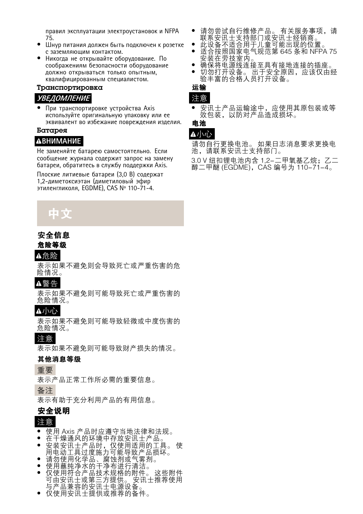правил эксплуатации электроустановок <sup>и</sup> NFPA 75.

- • Шнур питания должен быть подключен <sup>к</sup> розетке с заземляющим контактом.
- • Никогда не открывайте оборудование. По соображениям безопасности оборудование должно открываться только опытным, квалифицированным специалистом.

#### Транспортировка

#### **УВЕДОМЛЕНИЕ**

• При транспортировке устройства Axis используйте оригинальную упаковку или ее эквивалент во избежание повреждения изделия.

#### Батарея

#### **АВНИМАНИЕ**

Не заменяйте батарею самостоятельно. Если сообщение журнала содержит запрос на замену батареи, обратитесь <sup>в</sup> службу поддержки Axis.

Плоские литиевые батареи (3,0 В) содержат 1,2-диметоксиэтан (диметиловый эфир этиленгликоля, EGDME), CAS № 110-71-4.

# 中文

### 安全信息

### 危险等级

#### 危险

表示如果不避免则会导致死亡或严重伤害的危 险情况。

#### 警告

表示如果不避免则可能导致死亡或严重伤害的 危险情况。

#### 心心

表示如果不避免则可能导致轻微或中度伤害的 危险情况。

#### 注意

表示如果不避免则可能导致财产损失的情况。

#### 其他消息等级

重要

表示产品正常工作所必需的重要信息。

备注

表示有助于充分利用产品的有用信息。

#### 安全说明

#### 注意

- •使用 Axis 产品时应遵守当地法律和法规。
- •● 在干燥通风的环境中存放安讯士产品。
- • 安装安讯士产品时,仅使用适用的工具。 使 用电动工具过度施力可能导致产品损坏。
	- •请勿使用化学品、腐蚀剂或气雾剂。
	- •
- 使用蘸纯净水的干净布进行清洁。 仅使用符合产品技术规格的附件。 这些附件 •可由安讯士或第三方提供。 安讯士推荐使用 与产品兼容的安讯士电源设备。 仅使用安讯士提供或推荐的备件。
	- •
- •请勿尝试自行维修产品。 有关服务事项,请 联系安讯士支持部门或安讯士经销商。
- • 此设备不适合用于儿童可能出现的位置。 适合按照国家电气规范第 645 条和 NFPA 75
	- •安装在劳技室内。
	- •
- 确保将电源线连接至具有接地连接的插座。<br>● 切勿打开设备。 出于安全原因,应该仅由经<br> 验丰富的合格人员打开设备。 •

#### 运输 注意

•安讯士产品运输途中,应使用其原包装或等 效包装,以防对产品造成损坏。

#### 电池 心心

请勿自行更换电池。 如果日志消息要求更换电 池,请联系安讯士支持部门。

3.0 Ⅴ 纽扣锂电池内含 1,2-二甲氧基乙烷;乙二 醇二甲醚 (EGDME),CAS 编号为 110-71-4。